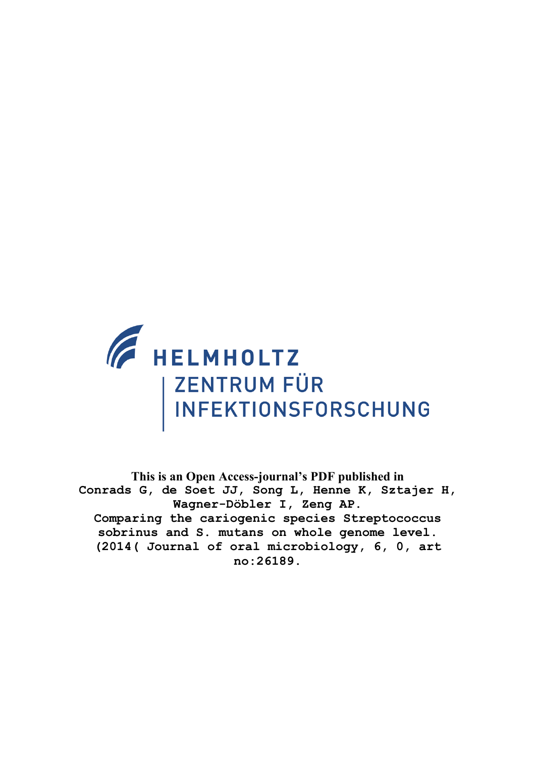

**This is an Open Access-journal's PDF published in Conrads G, de Soet JJ, Song L, Henne K, Sztajer H, Wagner-Döbler I, Zeng AP. Comparing the cariogenic species Streptococcus sobrinus and S. mutans on whole genome level. (2014( Journal of oral microbiology, 6, 0, art no:26189.**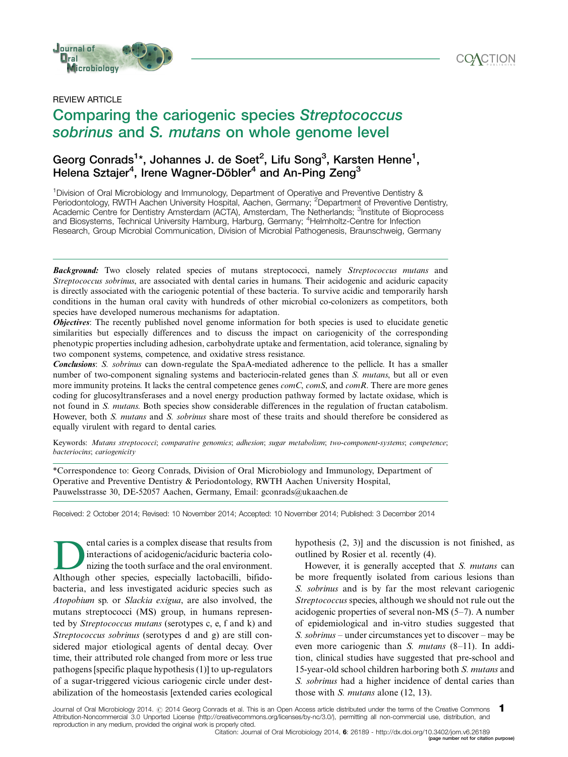



### REVIEW ARTICLE

# Comparing the cariogenic species Streptococcus sobrinus and S. mutans on whole genome level **Product of the Contract of Contract of the Contract of Contract of the Contract of Contract of the Control of the Control<br>PIEW ARTICLE<br>DIMPARTING the Cariogenic species Streptococcus**

# Georg Conrads<sup>1</sup>\*, Johannes J. de Soet<sup>2</sup>, Lifu Song<sup>3</sup>, Karsten Henne<sup>1</sup>, Helena Sztajer $^4$ , Irene Wagner-Döbler $^4$  and An-Ping Zeng $^3$

<sup>1</sup> Division of Oral Microbiology and Immunology, Department of Operative and Preventive Dentistry & Periodontology, RWTH Aachen University Hospital, Aachen, Germany; <sup>2</sup>Department of Preventive Dentistry, Academic Centre for Dentistry Amsterdam (ACTA), Amsterdam, The Netherlands; <sup>3</sup>Institute of Bioprocess and Biosystems, Technical University Hamburg, Harburg, Germany; <sup>4</sup>Helmholtz-Centre for Infection Research, Group Microbial Communication, Division of Microbial Pathogenesis, Braunschweig, Germany

**Background:** Two closely related species of mutans streptococci, namely Streptococcus mutans and Streptococcus sobrinus, are associated with dental caries in humans. Their acidogenic and aciduric capacity is directly associated with the cariogenic potential of these bacteria. To survive acidic and temporarily harsh conditions in the human oral cavity with hundreds of other microbial co-colonizers as competitors, both species have developed numerous mechanisms for adaptation.

**Objectives:** The recently published novel genome information for both species is used to elucidate genetic similarities but especially differences and to discuss the impact on cariogenicity of the corresponding phenotypic properties including adhesion, carbohydrate uptake and fermentation, acid tolerance, signaling by two component systems, competence, and oxidative stress resistance.

Conclusions: S. sobrinus can down-regulate the SpaA-mediated adherence to the pellicle. It has a smaller number of two-component signaling systems and bacteriocin-related genes than S. mutans, but all or even more immunity proteins. It lacks the central competence genes *comC*, *comS*, and *comR*. There are more genes coding for glucosyltransferases and a novel energy production pathway formed by lactate oxidase, which is not found in S. mutans. Both species show considerable differences in the regulation of fructan catabolism. However, both S. mutans and S. sobrinus share most of these traits and should therefore be considered as equally virulent with regard to dental caries.

Keywords: Mutans streptococci; comparative genomics; adhesion; sugar metabolism; two-component-systems; competence; bacteriocins; cariogenicity

\*Correspondence to: Georg Conrads, Division of Oral Microbiology and Immunology, Department of Operative and Preventive Dentistry & Periodontology, RWTH Aachen University Hospital, Pauwelsstrasse 30, DE-52057 Aachen, Germany, Email: gconrads@ukaachen.de

Received: 2 October 2014; Revised: 10 November 2014; Accepted: 10 November 2014; Published: 3 December 2014

ental caries is a complex disease that results from interactions of acidogenic/aciduric bacteria colonizing the tooth surface and the oral environment. Although other species, especially lactobacilli, bifidobacteria, and less investigated aciduric species such as Atopobium sp. or Slackia exigua, are also involved, the mutans streptococci (MS) group, in humans represented by Streptococcus mutans (serotypes c, e, f and k) and Streptococcus sobrinus (serotypes d and g) are still considered major etiological agents of dental decay. Over time, their attributed role changed from more or less true pathogens [specific plaque hypothesis (1)] to up-regulators of a sugar-triggered vicious cariogenic circle under destabilization of the homeostasis [extended caries ecological

hypothesis (2, 3)] and the discussion is not finished, as outlined by Rosier et al. recently (4).

However, it is generally accepted that S. mutans can be more frequently isolated from carious lesions than S. sobrinus and is by far the most relevant cariogenic Streptococcus species, although we should not rule out the acidogenic properties of several non-MS (5-7). A number of epidemiological and in-vitro studies suggested that S. sobrinus – under circumstances yet to discover – may be even more cariogenic than *S. mutans* (8-11). In addition, clinical studies have suggested that pre-school and 15-year-old school children harboring both S. mutans and S. sobrinus had a higher incidence of dental caries than those with *S. mutans* alone (12, 13).

Journal of Oral Microbiology 2014. © 2014 Georg Conrads et al. This is an Open Access article distributed under the terms of the Creative Commons Attribution-Noncommercial 3.0 Unported License (http://creativecommons.org/licenses/by-nc/3.0/), permitting all non-commercial use, distribution, and reproduction in any medium, provided the original work is properly cited. 1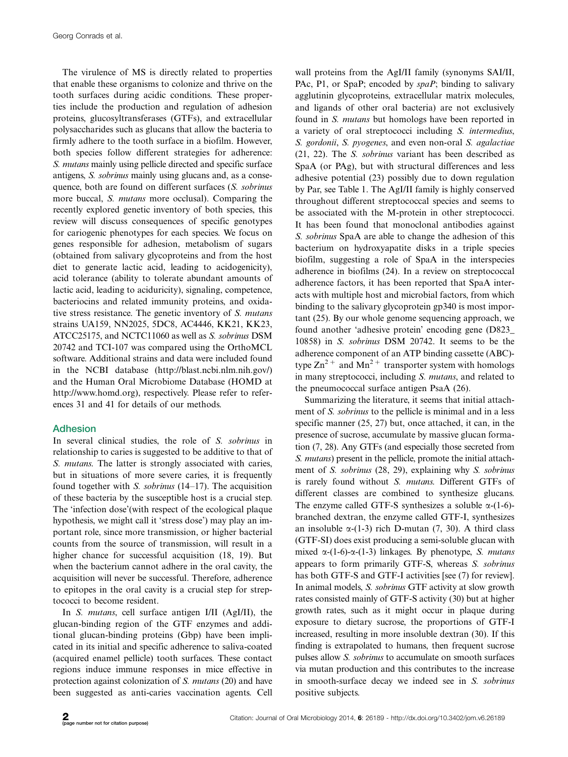The virulence of MS is directly related to properties that enable these organisms to colonize and thrive on the tooth surfaces during acidic conditions. These properties include the production and regulation of adhesion proteins, glucosyltransferases (GTFs), and extracellular polysaccharides such as glucans that allow the bacteria to firmly adhere to the tooth surface in a biofilm. However, both species follow different strategies for adherence: S. mutans mainly using pellicle directed and specific surface antigens, S. sobrinus mainly using glucans and, as a consequence, both are found on different surfaces (S. sobrinus more buccal, *S. mutans* more occlusal). Comparing the recently explored genetic inventory of both species, this review will discuss consequences of specific genotypes for cariogenic phenotypes for each species. We focus on genes responsible for adhesion, metabolism of sugars (obtained from salivary glycoproteins and from the host diet to generate lactic acid, leading to acidogenicity), acid tolerance (ability to tolerate abundant amounts of lactic acid, leading to aciduricity), signaling, competence, bacteriocins and related immunity proteins, and oxidative stress resistance. The genetic inventory of S. mutans strains UA159, NN2025, 5DC8, AC4446, KK21, KK23, ATCC25175, and NCTC11060 as well as S. sobrinus DSM 20742 and TCI-107 was compared using the OrthoMCL software. Additional strains and data were included found in the NCBI database ([http://blast.ncbi.nlm.nih.gov/\)](http://blast.ncbi.nlm.nih.gov/) and the Human Oral Microbiome Database (HOMD at [http://www.homd.org\)](http://www.homd.org), respectively. Please refer to references 31 and 41 for details of our methods.

### Adhesion

In several clinical studies, the role of S. sobrinus in relationship to caries is suggested to be additive to that of S. *mutans*. The latter is strongly associated with caries, but in situations of more severe caries, it is frequently found together with S. sobrinus (14–17). The acquisition of these bacteria by the susceptible host is a crucial step. The 'infection dose'(with respect of the ecological plaque hypothesis, we might call it 'stress dose') may play an important role, since more transmission, or higher bacterial counts from the source of transmission, will result in a higher chance for successful acquisition (18, 19). But when the bacterium cannot adhere in the oral cavity, the acquisition will never be successful. Therefore, adherence to epitopes in the oral cavity is a crucial step for streptococci to become resident.

In S. mutans, cell surface antigen I/II (AgI/II), the glucan-binding region of the GTF enzymes and additional glucan-binding proteins (Gbp) have been implicated in its initial and specific adherence to saliva-coated (acquired enamel pellicle) tooth surfaces. These contact regions induce immune responses in mice effective in protection against colonization of S. mutans (20) and have been suggested as anti-caries vaccination agents. Cell

wall proteins from the AgI/II family (synonyms SAI/II, PAc, P1, or SpaP; encoded by spaP; binding to salivary agglutinin glycoproteins, extracellular matrix molecules, and ligands of other oral bacteria) are not exclusively found in S. mutans but homologs have been reported in a variety of oral streptococci including S. intermedius, S. gordonii, S. pyogenes, and even non-oral S. agalactiae (21, 22). The S. sobrinus variant has been described as SpaA (or PAg), but with structural differences and less adhesive potential (23) possibly due to down regulation by Par, see Table 1. The AgI/II family is highly conserved throughout different streptococcal species and seems to be associated with the M-protein in other streptococci. It has been found that monoclonal antibodies against S. sobrinus SpaA are able to change the adhesion of this bacterium on hydroxyapatite disks in a triple species biofilm, suggesting a role of SpaA in the interspecies adherence in biofilms (24). In a review on streptococcal adherence factors, it has been reported that SpaA interacts with multiple host and microbial factors, from which binding to the salivary glycoprotein gp340 is most important (25). By our whole genome sequencing approach, we found another 'adhesive protein' encoding gene (D823\_ 10858) in S. sobrinus DSM 20742. It seems to be the adherence component of an ATP binding cassette (ABC) type  $\text{Zn}^{2+}$  and  $\text{Mn}^{2+}$  transporter system with homologs in many streptococci, including S. mutans, and related to the pneumococcal surface antigen PsaA (26).

Summarizing the literature, it seems that initial attachment of S. sobrinus to the pellicle is minimal and in a less specific manner (25, 27) but, once attached, it can, in the presence of sucrose, accumulate by massive glucan formation (7, 28). Any GTFs (and especially those secreted from S. *mutans*) present in the pellicle, promote the initial attachment of S. sobrinus (28, 29), explaining why S. sobrinus is rarely found without S. mutans. Different GTFs of different classes are combined to synthesize glucans. The enzyme called GTF-S synthesizes a soluble  $\alpha$ -(1-6)branched dextran, the enzyme called GTF-I, synthesizes an insoluble  $\alpha$ -(1-3) rich D-mutan (7, 30). A third class (GTF-SI) does exist producing a semi-soluble glucan with mixed  $\alpha$ -(1-6)- $\alpha$ -(1-3) linkages. By phenotype, S. mutans appears to form primarily GTF-S, whereas S. sobrinus has both GTF-S and GTF-I activities [see (7) for review]. In animal models, S. sobrinus GTF activity at slow growth rates consisted mainly of GTF-S activity (30) but at higher growth rates, such as it might occur in plaque during exposure to dietary sucrose, the proportions of GTF-I increased, resulting in more insoluble dextran (30). If this finding is extrapolated to humans, then frequent sucrose pulses allow S. sobrinus to accumulate on smooth surfaces via mutan production and this contributes to the increase in smooth-surface decay we indeed see in S. sobrinus positive subjects.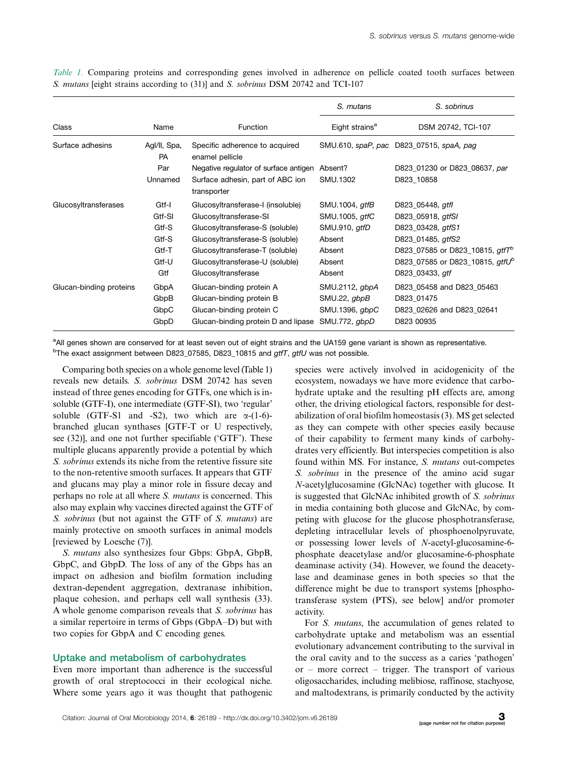|                         |                           |                                                   | S. mutans                  | S. sobrinus                                   |  |
|-------------------------|---------------------------|---------------------------------------------------|----------------------------|-----------------------------------------------|--|
| Class                   | Name                      | <b>Function</b>                                   | Eight strains <sup>a</sup> | DSM 20742, TCI-107                            |  |
| Surface adhesins        | Agl/II, Spa,<br><b>PA</b> | Specific adherence to acquired<br>enamel pellicle |                            | SMU.610, spaP, pac D823_07515, spaA, pag      |  |
|                         | Par                       | Negative regulator of surface antigen             | Absent?                    | D823_01230 or D823_08637, par                 |  |
|                         | Unnamed                   | Surface adhesin, part of ABC ion<br>transporter   | SMU.1302                   | D823 10858                                    |  |
| Glucosyltransferases    | Gtf-I                     | Glucosyltransferase-I (insoluble)                 | SMU.1004, gtfB             | D823_05448, gtfl                              |  |
|                         | Gtf-SI                    | Glucosyltransferase-SI                            | SMU.1005, <i>atfC</i>      | D823_05918, gtfSI                             |  |
|                         | Gtf-S                     | Glucosyltransferase-S (soluble)                   | SMU.910, gtfD              | D823_03428, gtfS1                             |  |
|                         | Gtf-S                     | Glucosyltransferase-S (soluble)                   | Absent                     | D823_01485, gtfS2                             |  |
|                         | Gtf-T                     | Glucosyltransferase-T (soluble)                   | Absent                     | D823_07585 or D823_10815, gtfT <sup>p</sup>   |  |
|                         | Gtf-U                     | Glucosyltransferase-U (soluble)                   | Absent                     | D823 07585 or D823 10815, at f U <sup>b</sup> |  |
|                         | Gtf                       | Glucosyltransferase                               | Absent                     | D823_03433, gtf                               |  |
| Glucan-binding proteins | GbpA                      | Glucan-binding protein A                          | SMU.2112, gbpA             | D823 05458 and D823 05463                     |  |
|                         | GbpB                      | Glucan-binding protein B                          | SMU.22, gbpB               | D823 01475                                    |  |
|                         | GbpC                      | Glucan-binding protein C                          | SMU.1396, gbpC             | D823 02626 and D823 02641                     |  |
|                         | GbpD                      | Glucan-binding protein D and lipase               | SMU.772, gbpD              | D823 00935                                    |  |

Table 1. Comparing proteins and corresponding genes involved in adherence on pellicle coated tooth surfaces between S. mutans [eight strains according to (31)] and S. sobrinus DSM 20742 and TCI-107

<sup>a</sup>All genes shown are conserved for at least seven out of eight strains and the UA159 gene variant is shown as representative. <sup>b</sup>The exact assignment between D823\_07585, D823\_10815 and *gtfT, gtfU* was not possible.

Comparing both species on a whole genome level (Table 1) reveals new details. S. sobrinus DSM 20742 has seven instead of three genes encoding for GTFs, one which is insoluble (GTF-I), one intermediate (GTF-SI), two 'regular' soluble (GTF-S1 and -S2), two which are  $\alpha$ -(1-6)branched glucan synthases [GTF-T or U respectively, see (32)], and one not further specifiable ('GTF'). These multiple glucans apparently provide a potential by which S. sobrinus extends its niche from the retentive fissure site to the non-retentive smooth surfaces. It appears that GTF and glucans may play a minor role in fissure decay and perhaps no role at all where S. mutans is concerned. This also may explain why vaccines directed against the GTF of S. sobrinus (but not against the GTF of S. mutans) are mainly protective on smooth surfaces in animal models [reviewed by Loesche (7)].

S. mutans also synthesizes four Gbps: GbpA, GbpB, GbpC, and GbpD. The loss of any of the Gbps has an impact on adhesion and biofilm formation including dextran-dependent aggregation, dextranase inhibition, plaque cohesion, and perhaps cell wall synthesis (33). A whole genome comparison reveals that S. sobrinus has a similar repertoire in terms of Gbps (GbpA-D) but with two copies for GbpA and C encoding genes.

### Uptake and metabolism of carbohydrates

Even more important than adherence is the successful growth of oral streptococci in their ecological niche. Where some years ago it was thought that pathogenic species were actively involved in acidogenicity of the ecosystem, nowadays we have more evidence that carbohydrate uptake and the resulting pH effects are, among other, the driving etiological factors, responsible for destabilization of oral biofilm homeostasis (3). MS get selected as they can compete with other species easily because of their capability to ferment many kinds of carbohydrates very efficiently. But interspecies competition is also found within MS. For instance, S. mutans out-competes S. sobrinus in the presence of the amino acid sugar N-acetylglucosamine (GlcNAc) together with glucose. It is suggested that GlcNAc inhibited growth of S. sobrinus in media containing both glucose and GlcNAc, by competing with glucose for the glucose phosphotransferase, depleting intracellular levels of phosphoenolpyruvate, or possessing lower levels of N-acetyl-glucosamine-6 phosphate deacetylase and/or glucosamine-6-phosphate deaminase activity (34). However, we found the deacetylase and deaminase genes in both species so that the difference might be due to transport systems [phosphotransferase system (PTS), see below] and/or promoter activity.

For S. mutans, the accumulation of genes related to carbohydrate uptake and metabolism was an essential evolutionary advancement contributing to the survival in the oral cavity and to the success as a caries 'pathogen' or - more correct - trigger. The transport of various oligosaccharides, including melibiose, raffinose, stachyose, and maltodextrans, is primarily conducted by the activity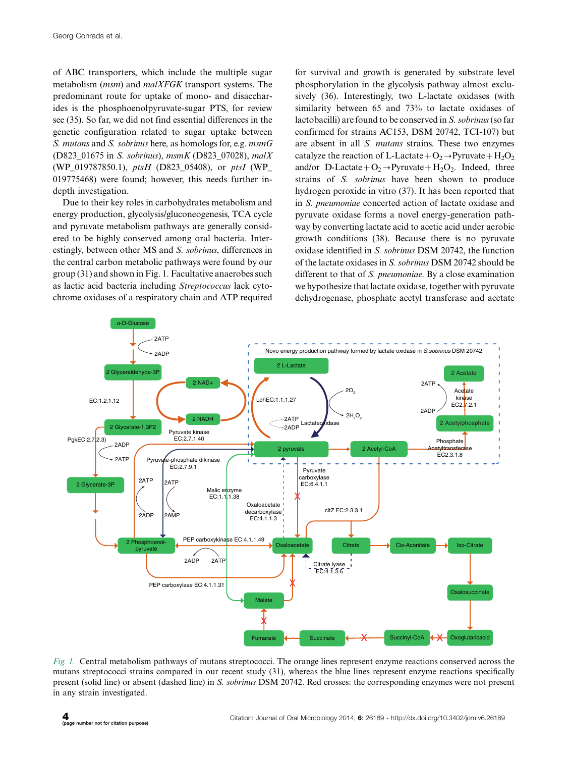of ABC transporters, which include the multiple sugar metabolism (msm) and malXFGK transport systems. The predominant route for uptake of mono- and disaccharides is the phosphoenolpyruvate-sugar PTS, for review see (35). So far, we did not find essential differences in the genetic configuration related to sugar uptake between S. mutans and S. sobrinus here, as homologs for, e.g. msmG (D823\_01675 in S. sobrinus), msmK (D823\_07028), malX (WP\_019787850.1), ptsH (D823\_05408), or ptsI (WP\_ 019775468) were found; however, this needs further indepth investigation.

Due to their key roles in carbohydrates metabolism and energy production, glycolysis/gluconeogenesis, TCA cycle and pyruvate metabolism pathways are generally considered to be highly conserved among oral bacteria. Interestingly, between other MS and S. sobrinus, differences in the central carbon metabolic pathways were found by our group (31) and shown in Fig. 1. Facultative anaerobes such as lactic acid bacteria including Streptococcus lack cytochrome oxidases of a respiratory chain and ATP required

for survival and growth is generated by substrate level phosphorylation in the glycolysis pathway almost exclusively (36). Interestingly, two L-lactate oxidases (with similarity between 65 and 73% to lactate oxidases of lactobacilli) are found to be conserved in S. sobrinus (so far confirmed for strains AC153, DSM 20742, TCI-107) but are absent in all S. mutans strains. These two enzymes catalyze the reaction of L-Lactate +  $O_2 \rightarrow Pyruvate + H_2O_2$ and/or D-Lactate +  $O_2 \rightarrow Pyruvate + H_2O_2$ . Indeed, three strains of S. sobrinus have been shown to produce hydrogen peroxide in vitro (37). It has been reported that in S. pneumoniae concerted action of lactate oxidase and pyruvate oxidase forms a novel energy-generation pathway by converting lactate acid to acetic acid under aerobic growth conditions (38). Because there is no pyruvate oxidase identified in S. sobrinus DSM 20742, the function of the lactate oxidases in S. sobrinus DSM 20742 should be different to that of S. pneumoniae. By a close examination we hypothesize that lactate oxidase, together with pyruvate dehydrogenase, phosphate acetyl transferase and acetate



Fig. 1. Central metabolism pathways of mutans streptococci. The orange lines represent enzyme reactions conserved across the mutans streptococci strains compared in our recent study (31), whereas the blue lines represent enzyme reactions specifically present (solid line) or absent (dashed line) in S. sobrinus DSM 20742. Red crosses: the corresponding enzymes were not present in any strain investigated.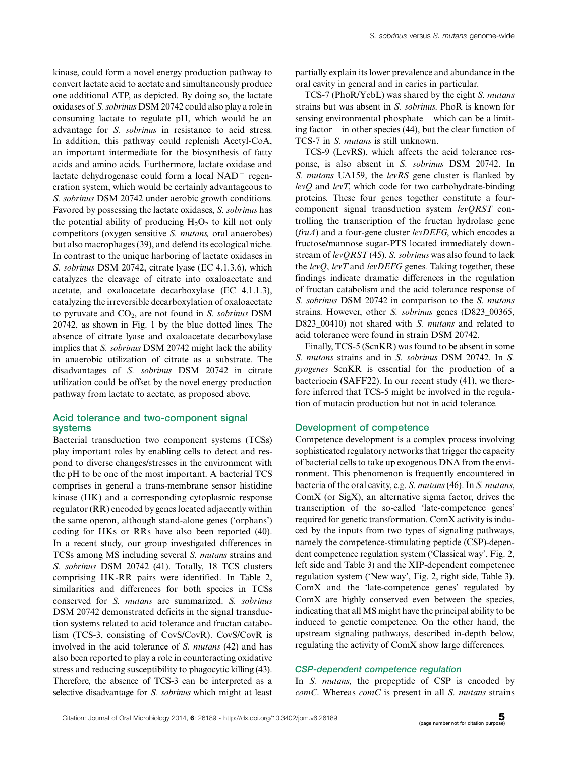kinase, could form a novel energy production pathway to convert lactate acid to acetate and simultaneously produce one additional ATP, as depicted. By doing so, the lactate oxidases of S. sobrinus DSM 20742 could also play a role in consuming lactate to regulate pH, which would be an advantage for S. sobrinus in resistance to acid stress. In addition, this pathway could replenish Acetyl-CoA, an important intermediate for the biosynthesis of fatty acids and amino acids. Furthermore, lactate oxidase and lactate dehydrogenase could form a local  $NAD<sup>+</sup>$  regeneration system, which would be certainly advantageous to S. sobrinus DSM 20742 under aerobic growth conditions. Favored by possessing the lactate oxidases, S. sobrinus has the potential ability of producing  $H_2O_2$  to kill not only competitors (oxygen sensitive S. mutans, oral anaerobes) but also macrophages (39), and defend its ecological niche. In contrast to the unique harboring of lactate oxidases in S. sobrinus DSM 20742, citrate lyase (EC 4.1.3.6), which catalyzes the cleavage of citrate into oxaloacetate and acetate, and oxaloacetate decarboxylase (EC 4.1.1.3), catalyzing the irreversible decarboxylation of oxaloacetate to pyruvate and  $CO<sub>2</sub>$ , are not found in S. sobrinus DSM 20742, as shown in Fig. 1 by the blue dotted lines. The absence of citrate lyase and oxaloacetate decarboxylase implies that S. sobrinus DSM 20742 might lack the ability in anaerobic utilization of citrate as a substrate. The disadvantages of S. sobrinus DSM 20742 in citrate utilization could be offset by the novel energy production pathway from lactate to acetate, as proposed above.

### Acid tolerance and two-component signal systems

Bacterial transduction two component systems (TCSs) play important roles by enabling cells to detect and respond to diverse changes/stresses in the environment with the pH to be one of the most important. A bacterial TCS comprises in general a trans-membrane sensor histidine kinase (HK) and a corresponding cytoplasmic response regulator (RR) encoded by genes located adjacently within the same operon, although stand-alone genes ('orphans') coding for HKs or RRs have also been reported (40). In a recent study, our group investigated differences in TCSs among MS including several S. mutans strains and S. sobrinus DSM 20742 (41). Totally, 18 TCS clusters comprising HK-RR pairs were identified. In Table 2, similarities and differences for both species in TCSs conserved for S. mutans are summarized. S. sobrinus DSM 20742 demonstrated deficits in the signal transduction systems related to acid tolerance and fructan catabolism (TCS-3, consisting of CovS/CovR). CovS/CovR is involved in the acid tolerance of S. mutans (42) and has also been reported to play a role in counteracting oxidative stress and reducing susceptibility to phagocytic killing (43). Therefore, the absence of TCS-3 can be interpreted as a selective disadvantage for S. sobrinus which might at least

partially explain its lower prevalence and abundance in the oral cavity in general and in caries in particular.

TCS-7 (PhoR/YcbL) was shared by the eight S. mutans strains but was absent in S. sobrinus. PhoR is known for sensing environmental phosphate – which can be a limiting factor - in other species (44), but the clear function of TCS-7 in S. mutans is still unknown.

TCS-9 (LevRS), which affects the acid tolerance response, is also absent in S. sobrinus DSM 20742. In S. mutans UA159, the levRS gene cluster is flanked by  $levO$  and  $levT$ , which code for two carbohydrate-binding proteins. These four genes together constitute a fourcomponent signal transduction system levQRST controlling the transcription of the fructan hydrolase gene  $(fruA)$  and a four-gene cluster levDEFG, which encodes a fructose/mannose sugar-PTS located immediately downstream of  $levORST(45)$ . S. sobrinus was also found to lack the  $levQ$ ,  $levT$  and  $levDEFG$  genes. Taking together, these findings indicate dramatic differences in the regulation of fructan catabolism and the acid tolerance response of S. sobrinus DSM 20742 in comparison to the S. mutans strains. However, other S. sobrinus genes (D823\_00365, D823\_00410) not shared with S. mutans and related to acid tolerance were found in strain DSM 20742.

Finally, TCS-5 (ScnKR) was found to be absent in some S. mutans strains and in S. sobrinus DSM 20742. In S. pyogenes ScnKR is essential for the production of a bacteriocin (SAFF22). In our recent study (41), we therefore inferred that TCS-5 might be involved in the regulation of mutacin production but not in acid tolerance.

### Development of competence

Competence development is a complex process involving sophisticated regulatory networks that trigger the capacity of bacterial cells to take up exogenous DNA from the environment. This phenomenon is frequently encountered in bacteria of the oral cavity, e.g. S. mutans(46). In S. mutans, ComX (or SigX), an alternative sigma factor, drives the transcription of the so-called 'late-competence genes' required for genetic transformation. ComX activity is induced by the inputs from two types of signaling pathways, namely the competence-stimulating peptide (CSP)-dependent competence regulation system ('Classical way', Fig. 2, left side and Table 3) and the XIP-dependent competence regulation system ('New way', Fig. 2, right side, Table 3). ComX and the 'late-competence genes' regulated by ComX are highly conserved even between the species, indicating that all MS might have the principal ability to be induced to genetic competence. On the other hand, the upstream signaling pathways, described in-depth below, regulating the activity of ComX show large differences.

### CSP-dependent competence regulation

In S. mutans, the prepeptide of CSP is encoded by  $comC$ . Whereas  $comC$  is present in all  $S$ . mutans strains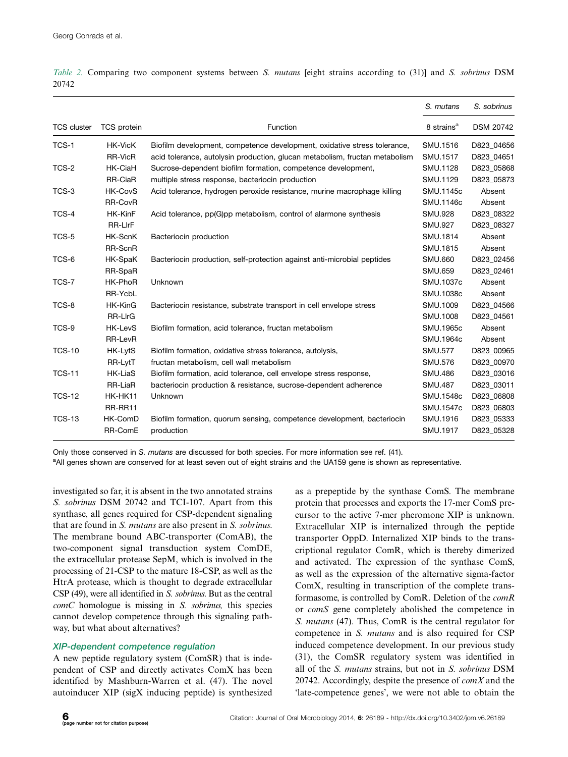|                    |                    |                                                                             | S. mutans              | S. sobrinus |
|--------------------|--------------------|-----------------------------------------------------------------------------|------------------------|-------------|
| <b>TCS cluster</b> | <b>TCS</b> protein | Function                                                                    | 8 strains <sup>a</sup> | DSM 20742   |
| TCS-1              | <b>HK-VicK</b>     | Biofilm development, competence development, oxidative stress tolerance,    | SMU.1516               | D823 04656  |
|                    | RR-VicR            | acid tolerance, autolysin production, glucan metabolism, fructan metabolism | SMU.1517               | D823_04651  |
| TCS-2              | HK-CiaH            | Sucrose-dependent biofilm formation, competence development,                | SMU.1128               | D823 05868  |
|                    | RR-CiaR            | multiple stress response, bacteriocin production                            | SMU.1129               | D823 05873  |
| TCS-3              | <b>HK-CovS</b>     | Acid tolerance, hydrogen peroxide resistance, murine macrophage killing     | SMU.1145c              | Absent      |
|                    | RR-CovR            |                                                                             | SMU.1146c              | Absent      |
| TCS-4              | HK-KinF            | Acid tolerance, pp(G)pp metabolism, control of alarmone synthesis           | <b>SMU.928</b>         | D823 08322  |
|                    | RR-LIrF            |                                                                             | <b>SMU.927</b>         | D823 08327  |
| TCS-5              | <b>HK-ScnK</b>     | Bacteriocin production                                                      | SMU.1814               | Absent      |
|                    | RR-ScnR            |                                                                             | SMU.1815               | Absent      |
| TCS-6              | HK-SpaK            | Bacteriocin production, self-protection against anti-microbial peptides     | <b>SMU.660</b>         | D823 02456  |
|                    | RR-SpaR            |                                                                             | <b>SMU.659</b>         | D823 02461  |
| TCS-7              | HK-PhoR            | Unknown                                                                     | SMU.1037c              | Absent      |
|                    | RR-YcbL            |                                                                             | SMU.1038c              | Absent      |
| TCS-8              | HK-KinG            | Bacteriocin resistance, substrate transport in cell envelope stress         | SMU.1009               | D823 04566  |
|                    | <b>RR-LIrG</b>     |                                                                             | SMU.1008               | D823 04561  |
| TCS-9              | <b>HK-LevS</b>     | Biofilm formation, acid tolerance, fructan metabolism                       | SMU.1965c              | Absent      |
|                    | RR-LevR            |                                                                             | SMU.1964c              | Absent      |
| <b>TCS-10</b>      | HK-LytS            | Biofilm formation, oxidative stress tolerance, autolysis,                   | <b>SMU.577</b>         | D823 00965  |
|                    | RR-LytT            | fructan metabolism, cell wall metabolism                                    | <b>SMU.576</b>         | D823 00970  |
| <b>TCS-11</b>      | <b>HK-LiaS</b>     | Biofilm formation, acid tolerance, cell envelope stress response,           | <b>SMU.486</b>         | D823 03016  |
|                    | RR-LiaR            | bacteriocin production & resistance, sucrose-dependent adherence            | <b>SMU.487</b>         | D823 03011  |
| <b>TCS-12</b>      | HK-HK11            | Unknown                                                                     | SMU.1548c              | D823 06808  |
|                    | RR-RR11            |                                                                             | SMU.1547c              | D823_06803  |
| <b>TCS-13</b>      | HK-ComD            | Biofilm formation, quorum sensing, competence development, bacteriocin      | SMU.1916               | D823_05333  |
|                    | RR-ComE            | production                                                                  | SMU.1917               | D823 05328  |

Table 2. Comparing two component systems between S. mutans [eight strains according to (31)] and S. sobrinus DSM 20742

Only those conserved in S. mutans are discussed for both species. For more information see ref. (41).

<sup>a</sup>All genes shown are conserved for at least seven out of eight strains and the UA159 gene is shown as representative.

investigated so far, it is absent in the two annotated strains S. sobrinus DSM 20742 and TCI-107. Apart from this synthase, all genes required for CSP-dependent signaling that are found in S. mutans are also present in S. sobrinus. The membrane bound ABC-transporter (ComAB), the two-component signal transduction system ComDE, the extracellular protease SepM, which is involved in the processing of 21-CSP to the mature 18-CSP, as well as the HtrA protease, which is thought to degrade extracellular CSP (49), were all identified in S. sobrinus. But as the central  $comC$  homologue is missing in  $S$ . sobrinus, this species cannot develop competence through this signaling pathway, but what about alternatives?

### XIP-dependent competence regulation

A new peptide regulatory system (ComSR) that is independent of CSP and directly activates ComX has been identified by Mashburn-Warren et al. (47). The novel autoinducer XIP (sigX inducing peptide) is synthesized as a prepeptide by the synthase ComS. The membrane protein that processes and exports the 17-mer ComS precursor to the active 7-mer pheromone XIP is unknown. Extracellular XIP is internalized through the peptide transporter OppD. Internalized XIP binds to the transcriptional regulator ComR, which is thereby dimerized and activated. The expression of the synthase ComS, as well as the expression of the alternative sigma-factor ComX, resulting in transcription of the complete transformasome, is controlled by ComR. Deletion of the comR or comS gene completely abolished the competence in S. mutans (47). Thus, ComR is the central regulator for competence in S. mutans and is also required for CSP induced competence development. In our previous study (31), the ComSR regulatory system was identified in all of the S. mutans strains, but not in S. sobrinus DSM 20742. Accordingly, despite the presence of  $\text{com} X$  and the 'late-competence genes', we were not able to obtain the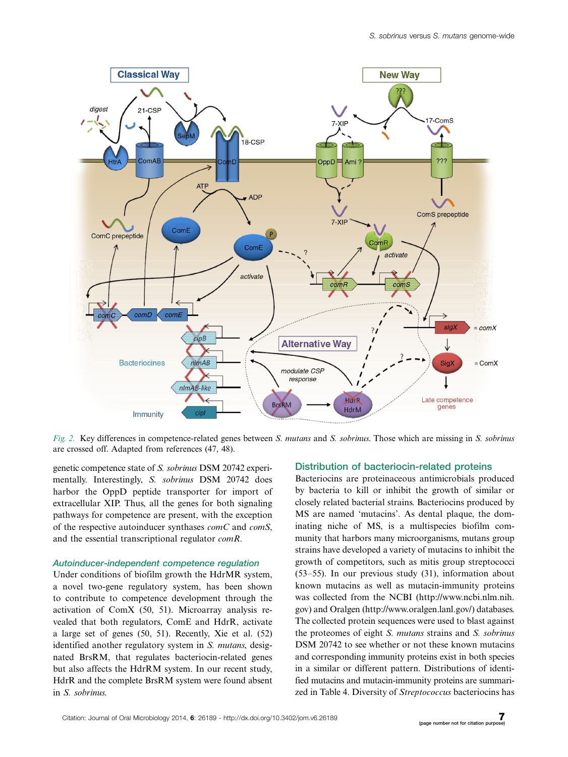

Fig. 2. Key differences in competence-related genes between S. mutans and S. sobrinus. Those which are missing in S. sobrinus are crossed off. Adapted from references (47, 48).

genetic competence state of S. sobrinus DSM 20742 experimentally. Interestingly, S. sobrinus DSM 20742 does harbor the OppD peptide transporter for import of extracellular XIP. Thus, all the genes for both signaling pathways for competence are present, with the exception of the respective autoinducer synthases  $comC$  and  $comS$ , and the essential transcriptional regulator comR.

### Autoinducer-independent competence regulation

Under conditions of biofilm growth the HdrMR system, a novel two-gene regulatory system, has been shown to contribute to competence development through the activation of ComX (50, 51). Microarray analysis revealed that both regulators, ComE and HdrR, activate a large set of genes (50, 51). Recently, Xie et al. (52) identified another regulatory system in S. mutans, designated BrsRM, that regulates bacteriocin-related genes but also affects the HdrRM system. In our recent study, HdrR and the complete BrsRM system were found absent in S. sobrinus.

### Distribution of bacteriocin-related proteins

Bacteriocins are proteinaceous antimicrobials produced by bacteria to kill or inhibit the growth of similar or closely related bacterial strains. Bacteriocins produced by MS are named 'mutacins'. As dental plaque, the dominating niche of MS, is a multispecies biofilm community that harbors many microorganisms, mutans group strains have developed a variety of mutacins to inhibit the growth of competitors, such as mitis group streptococci (53-55). In our previous study (31), information about known mutacins as well as mutacin-immunity proteins was collected from the NCBI ([http://www.ncbi.nlm.nih.](http://www.ncbi.nlm.nih.gov) [gov\)](http://www.ncbi.nlm.nih.gov) and Oralgen [\(http://www.oralgen.lanl.gov/\)](http://www.oralgen.lanl.gov/) databases. The collected protein sequences were used to blast against the proteomes of eight S. mutans strains and S. sobrinus DSM 20742 to see whether or not these known mutacins and corresponding immunity proteins exist in both species in a similar or different pattern. Distributions of identified mutacins and mutacin-immunity proteins are summarized in Table 4. Diversity of Streptococcus bacteriocins has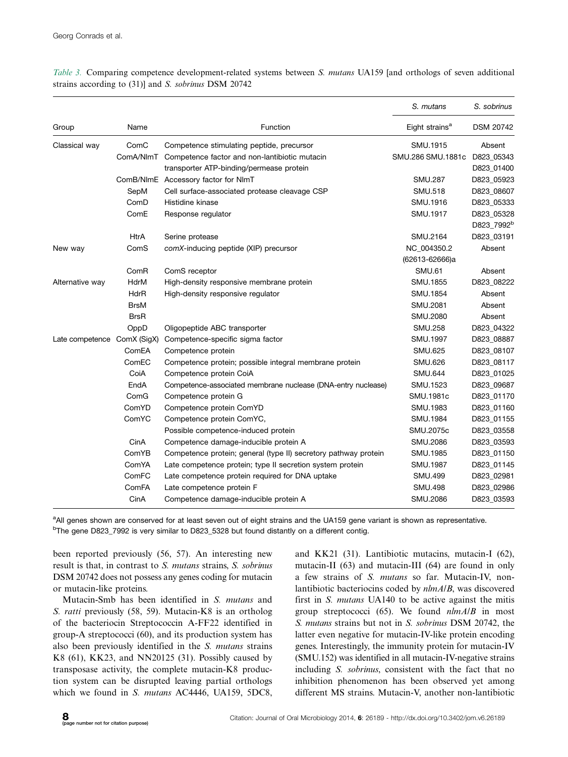|                 |             |                                                                 | S. mutans                  | S. sobrinus            |
|-----------------|-------------|-----------------------------------------------------------------|----------------------------|------------------------|
| Group           | Name        | Function                                                        | Eight strains <sup>a</sup> | <b>DSM 20742</b>       |
| Classical way   | ComC        | Competence stimulating peptide, precursor                       | SMU.1915                   | Absent                 |
|                 |             | ComA/NImT Competence factor and non-lantibiotic mutacin         | SMU.286 SMU.1881c          | D823_05343             |
|                 |             | transporter ATP-binding/permease protein                        |                            | D823_01400             |
|                 |             | ComB/NImE Accessory factor for NImT                             | <b>SMU.287</b>             | D823_05923             |
|                 | SepM        | Cell surface-associated protease cleavage CSP                   | <b>SMU.518</b>             | D823_08607             |
|                 | ComD        | Histidine kinase                                                | SMU.1916                   | D823_05333             |
|                 | ComE        | Response regulator                                              | SMU.1917                   | D823_05328             |
|                 |             |                                                                 |                            | D823_7992 <sup>b</sup> |
|                 | <b>HtrA</b> | Serine protease                                                 | SMU.2164                   | D823 03191             |
| New way         | ComS        | comX-inducing peptide (XIP) precursor                           | NC_004350.2                | Absent                 |
|                 |             |                                                                 | (62613-62666)a             |                        |
|                 | ComR        | ComS receptor                                                   | <b>SMU.61</b>              | Absent                 |
| Alternative way | <b>HdrM</b> | High-density responsive membrane protein                        | SMU.1855                   | D823_08222             |
|                 | <b>HdrR</b> | High-density responsive regulator                               | SMU.1854                   | Absent                 |
|                 | <b>BrsM</b> |                                                                 | SMU.2081                   | Absent                 |
|                 | <b>BrsR</b> |                                                                 | SMU.2080                   | Absent                 |
|                 | OppD        | Oligopeptide ABC transporter                                    | <b>SMU.258</b>             | D823_04322             |
| Late competence | ComX (SigX) | Competence-specific sigma factor                                | SMU.1997                   | D823_08887             |
|                 | ComEA       | Competence protein                                              | <b>SMU.625</b>             | D823_08107             |
|                 | ComEC       | Competence protein; possible integral membrane protein          | <b>SMU.626</b>             | D823_08117             |
|                 | CoiA        | Competence protein CoiA                                         | <b>SMU.644</b>             | D823_01025             |
|                 | EndA        | Competence-associated membrane nuclease (DNA-entry nuclease)    | SMU.1523                   | D823_09687             |
|                 | ComG        | Competence protein G                                            | SMU.1981c                  | D823_01170             |
|                 | ComYD       | Competence protein ComYD                                        | SMU.1983                   | D823_01160             |
|                 | ComYC       | Competence protein ComYC,                                       | SMU.1984                   | D823_01155             |
|                 |             | Possible competence-induced protein                             | SMU.2075c                  | D823_03558             |
|                 | CinA        | Competence damage-inducible protein A                           | SMU.2086                   | D823_03593             |
|                 | ComYB       | Competence protein; general (type II) secretory pathway protein | SMU.1985                   | D823_01150             |
|                 | ComYA       | Late competence protein; type II secretion system protein       | <b>SMU.1987</b>            | D823_01145             |
|                 | ComFC       | Late competence protein required for DNA uptake                 | <b>SMU.499</b>             | D823_02981             |
|                 | ComFA       | Late competence protein F                                       | <b>SMU.498</b>             | D823_02986             |
|                 | CinA        | Competence damage-inducible protein A                           | SMU.2086                   | D823_03593             |

Table 3. Comparing competence development-related systems between S. mutans UA159 [and orthologs of seven additional strains according to (31)] and S. sobrinus DSM 20742

<sup>a</sup>All genes shown are conserved for at least seven out of eight strains and the UA159 gene variant is shown as representative. <sup>b</sup>The gene D823\_7992 is very similar to D823\_5328 but found distantly on a different contig.

been reported previously (56, 57). An interesting new result is that, in contrast to S. mutans strains, S. sobrinus DSM 20742 does not possess any genes coding for mutacin or mutacin-like proteins.

Mutacin-Smb has been identified in S. mutans and S. ratti previously (58, 59). Mutacin-K8 is an ortholog of the bacteriocin Streptococcin A-FF22 identified in group-A streptococci (60), and its production system has also been previously identified in the S. mutans strains K8 (61), KK23, and NN20125 (31). Possibly caused by transposase activity, the complete mutacin-K8 production system can be disrupted leaving partial orthologs which we found in S. mutans AC4446, UA159, 5DC8,

and KK21 (31). Lantibiotic mutacins, mutacin-I (62), mutacin-II (63) and mutacin-III (64) are found in only a few strains of S. mutans so far. Mutacin-IV, nonlantibiotic bacteriocins coded by nlmA/B, was discovered first in S. mutans UA140 to be active against the mitis group streptococci (65). We found  $nlmA/B$  in most S. mutans strains but not in S. sobrinus DSM 20742, the latter even negative for mutacin-IV-like protein encoding genes. Interestingly, the immunity protein for mutacin-IV (SMU.152) was identified in all mutacin-IV-negative strains including S. sobrinus, consistent with the fact that no inhibition phenomenon has been observed yet among different MS strains. Mutacin-V, another non-lantibiotic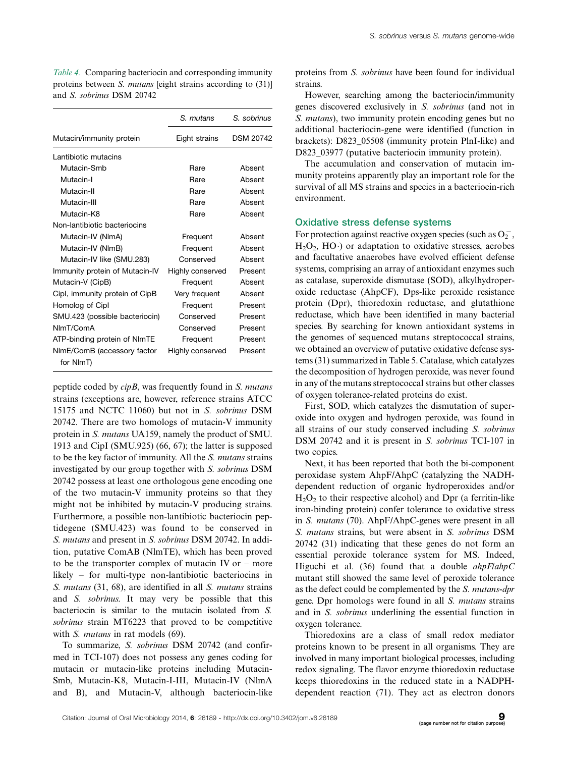|                                | S. mutans        | S. sobrinus      |
|--------------------------------|------------------|------------------|
| Mutacin/immunity protein       | Eight strains    | <b>DSM 20742</b> |
| Lantibiotic mutacins           |                  |                  |
| Mutacin-Smb                    | Rare             | Absent           |
| Mutacin-I                      | Rare             | Absent           |
| Mutacin-II                     | Rare             | Absent           |
| Mutacin-III                    | Rare             | Absent           |
| Mutacin-K8                     | Rare             | Absent           |
| Non-lantibiotic bacteriocins   |                  |                  |
| Mutacin-IV (NImA)              | Frequent         | Absent           |
| Mutacin-IV (NImB)              | Frequent         | Absent           |
| Mutacin-IV like (SMU.283)      | Conserved        | Absent           |
| Immunity protein of Mutacin-IV | Highly conserved | Present          |
| Mutacin-V (CipB)               | Frequent         | Absent           |
| Cipl, immunity protein of CipB | Very frequent    | Absent           |
| Homolog of Cipl                | Frequent         | Present          |
| SMU.423 (possible bacteriocin) | Conserved        | Present          |
| NImT/ComA                      | Conserved        | Present          |
| ATP-binding protein of NImTE   | Frequent         | Present          |
| NImE/ComB (accessory factor    | Highly conserved | Present          |
| for NImT)                      |                  |                  |

Table 4. Comparing bacteriocin and corresponding immunity proteins between *S. mutans* [eight strains according to (31)] and S. sobrinus DSM 20742

peptide coded by cipB, was frequently found in S. mutans strains (exceptions are, however, reference strains ATCC 15175 and NCTC 11060) but not in S. sobrinus DSM 20742. There are two homologs of mutacin-V immunity protein in S. mutans UA159, namely the product of SMU. 1913 and CipI (SMU.925) (66, 67); the latter is supposed to be the key factor of immunity. All the S. mutans strains investigated by our group together with S. sobrinus DSM 20742 possess at least one orthologous gene encoding one of the two mutacin-V immunity proteins so that they might not be inhibited by mutacin-V producing strains. Furthermore, a possible non-lantibiotic bacteriocin peptidegene (SMU.423) was found to be conserved in S. mutans and present in S. sobrinus DSM 20742. In addition, putative ComAB (NlmTE), which has been proved to be the transporter complex of mutacin IV or - more likely - for multi-type non-lantibiotic bacteriocins in S. mutans (31, 68), are identified in all S. mutans strains and S. sobrinus. It may very be possible that this bacteriocin is similar to the mutacin isolated from S. sobrinus strain MT6223 that proved to be competitive with *S. mutans* in rat models (69).

To summarize, S. sobrinus DSM 20742 (and confirmed in TCI-107) does not possess any genes coding for mutacin or mutacin-like proteins including Mutacin-Smb, Mutacin-K8, Mutacin-I-III, Mutacin-IV (NlmA and B), and Mutacin-V, although bacteriocin-like proteins from S. sobrinus have been found for individual strains.

However, searching among the bacteriocin/immunity genes discovered exclusively in S. sobrinus (and not in S. mutans), two immunity protein encoding genes but no additional bacteriocin-gene were identified (function in brackets): D823\_05508 (immunity protein PlnI-like) and D823\_03977 (putative bacteriocin immunity protein).

The accumulation and conservation of mutacin immunity proteins apparently play an important role for the survival of all MS strains and species in a bacteriocin-rich environment.

### Oxidative stress defense systems

For protection against reactive oxygen species (such as  $O_2^-$ ,  $H<sub>2</sub>O<sub>2</sub>$ , HO·) or adaptation to oxidative stresses, aerobes and facultative anaerobes have evolved efficient defense systems, comprising an array of antioxidant enzymes such as catalase, superoxide dismutase (SOD), alkylhydroperoxide reductase (AhpCF), Dps-like peroxide resistance protein (Dpr), thioredoxin reductase, and glutathione reductase, which have been identified in many bacterial species. By searching for known antioxidant systems in the genomes of sequenced mutans streptococcal strains, we obtained an overview of putative oxidative defense systems (31) summarized in Table 5. Catalase, which catalyzes the decomposition of hydrogen peroxide, was never found in any of the mutans streptococcal strains but other classes of oxygen tolerance-related proteins do exist.

First, SOD, which catalyzes the dismutation of superoxide into oxygen and hydrogen peroxide, was found in all strains of our study conserved including S. sobrinus DSM 20742 and it is present in S. sobrinus TCI-107 in two copies.

Next, it has been reported that both the bi-component peroxidase system AhpF/AhpC (catalyzing the NADHdependent reduction of organic hydroperoxides and/or  $H<sub>2</sub>O<sub>2</sub>$  to their respective alcohol) and Dpr (a ferritin-like iron-binding protein) confer tolerance to oxidative stress in S. mutans (70). AhpF/AhpC-genes were present in all S. mutans strains, but were absent in S. sobrinus DSM 20742 (31) indicating that these genes do not form an essential peroxide tolerance system for MS. Indeed, Higuchi et al.  $(36)$  found that a double  $ahpFlahpC$ mutant still showed the same level of peroxide tolerance as the defect could be complemented by the S. mutans-dpr gene. Dpr homologs were found in all S. mutans strains and in S. sobrinus underlining the essential function in oxygen tolerance.

Thioredoxins are a class of small redox mediator proteins known to be present in all organisms. They are involved in many important biological processes, including redox signaling. The flavor enzyme thioredoxin reductase keeps thioredoxins in the reduced state in a NADPHdependent reaction (71). They act as electron donors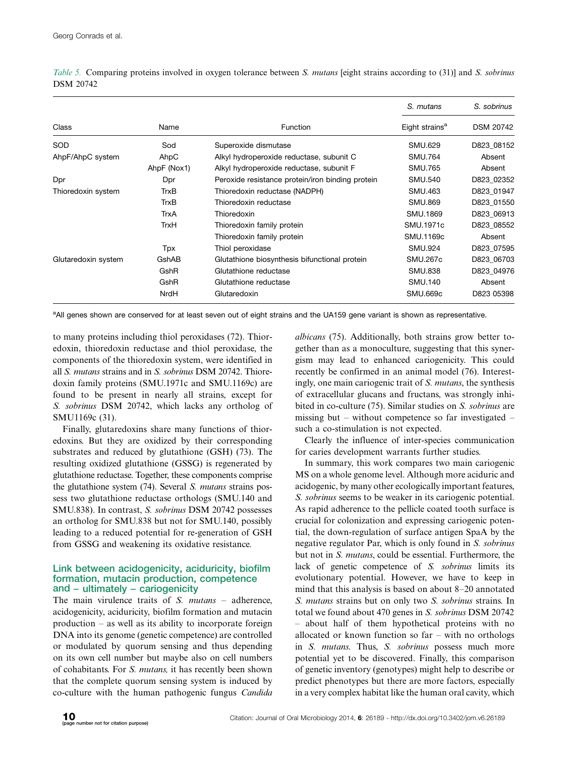|                     |             |                                                  | S. mutans                  | S. sobrinus      |  |
|---------------------|-------------|--------------------------------------------------|----------------------------|------------------|--|
| Class               | Name        | <b>Function</b>                                  | Eight strains <sup>a</sup> | <b>DSM 20742</b> |  |
| <b>SOD</b>          | Sod         | Superoxide dismutase                             | SMU.629                    | D823 08152       |  |
| AhpF/AhpC system    | AhpC        | Alkyl hydroperoxide reductase, subunit C         | <b>SMU.764</b>             | Absent           |  |
|                     | AhpF (Nox1) | Alkyl hydroperoxide reductase, subunit F         | <b>SMU.765</b>             | Absent           |  |
| Dpr                 | Dpr         | Peroxide resistance protein/iron binding protein | SMU.540                    | D823 02352       |  |
| Thioredoxin system  | <b>TrxB</b> | Thioredoxin reductase (NADPH)                    | SMU.463                    | D823 01947       |  |
|                     | <b>TrxB</b> | Thioredoxin reductase                            | <b>SMU.869</b>             | D823 01550       |  |
|                     | TrxA        | Thioredoxin                                      | SMU.1869                   | D823 06913       |  |
|                     | <b>TrxH</b> | Thioredoxin family protein                       | SMU.1971c                  | D823 08552       |  |
|                     |             | Thioredoxin family protein                       | SMU.1169c                  | Absent           |  |
|                     | Tpx         | Thiol peroxidase                                 | <b>SMU.924</b>             | D823 07595       |  |
| Glutaredoxin system | GshAB       | Glutathione biosynthesis bifunctional protein    | <b>SMU.267c</b>            | D823 06703       |  |
|                     | GshR        | Glutathione reductase                            | <b>SMU.838</b>             | D823 04976       |  |
|                     | GshR        | Glutathione reductase                            | <b>SMU.140</b>             | Absent           |  |
|                     | NrdH        | Glutaredoxin                                     | SMU.669c                   | D823 05398       |  |

Table 5. Comparing proteins involved in oxygen tolerance between S. mutans [eight strains according to (31)] and S. sobrinus DSM 20742

<sup>a</sup>All genes shown are conserved for at least seven out of eight strains and the UA159 gene variant is shown as representative.

to many proteins including thiol peroxidases (72). Thioredoxin, thioredoxin reductase and thiol peroxidase, the components of the thioredoxin system, were identified in all S. mutans strains and in S. sobrinus DSM 20742. Thioredoxin family proteins (SMU.1971c and SMU.1169c) are found to be present in nearly all strains, except for S. sobrinus DSM 20742, which lacks any ortholog of SMU1169c (31).

Finally, glutaredoxins share many functions of thioredoxins. But they are oxidized by their corresponding substrates and reduced by glutathione (GSH) (73). The resulting oxidized glutathione (GSSG) is regenerated by glutathione reductase. Together, these components comprise the glutathione system (74). Several S. mutans strains possess two glutathione reductase orthologs (SMU.140 and SMU.838). In contrast, S. sobrinus DSM 20742 possesses an ortholog for SMU.838 but not for SMU.140, possibly leading to a reduced potential for re-generation of GSH from GSSG and weakening its oxidative resistance.

## Link between acidogenicity, aciduricity, biofilm formation, mutacin production, competence and - ultimately - cariogenicity

The main virulence traits of S. mutans - adherence, acidogenicity, aciduricity, biofilm formation and mutacin production - as well as its ability to incorporate foreign DNA into its genome (genetic competence) are controlled or modulated by quorum sensing and thus depending on its own cell number but maybe also on cell numbers of cohabitants. For S. mutans, it has recently been shown that the complete quorum sensing system is induced by co-culture with the human pathogenic fungus Candida

albicans (75). Additionally, both strains grow better together than as a monoculture, suggesting that this synergism may lead to enhanced cariogenicity. This could recently be confirmed in an animal model (76). Interestingly, one main cariogenic trait of S. mutans, the synthesis of extracellular glucans and fructans, was strongly inhibited in co-culture (75). Similar studies on S. sobrinus are missing but – without competence so far investigated – such a co-stimulation is not expected.

Clearly the influence of inter-species communication for caries development warrants further studies.

In summary, this work compares two main cariogenic MS on a whole genome level. Although more aciduric and acidogenic, by many other ecologically important features, S. sobrinus seems to be weaker in its cariogenic potential. As rapid adherence to the pellicle coated tooth surface is crucial for colonization and expressing cariogenic potential, the down-regulation of surface antigen SpaA by the negative regulator Par, which is only found in S. sobrinus but not in S. mutans, could be essential. Furthermore, the lack of genetic competence of S. sobrinus limits its evolutionary potential. However, we have to keep in mind that this analysis is based on about 8-20 annotated S. mutans strains but on only two S. sobrinus strains. In total we found about 470 genes in S. sobrinus DSM 20742 - about half of them hypothetical proteins with no allocated or known function so  $far$  – with no orthologs in S. mutans. Thus, S. sobrinus possess much more potential yet to be discovered. Finally, this comparison of genetic inventory (genotypes) might help to describe or predict phenotypes but there are more factors, especially in a very complex habitat like the human oral cavity, which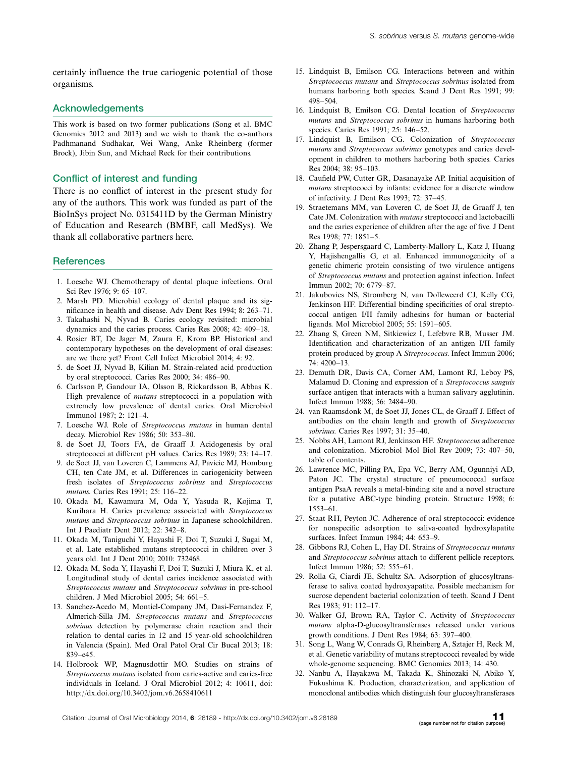certainly influence the true cariogenic potential of those organisms.

### Acknowledgements

This work is based on two former publications (Song et al. BMC Genomics 2012 and 2013) and we wish to thank the co-authors Padhmanand Sudhakar, Wei Wang, Anke Rheinberg (former Brock), Jibin Sun, and Michael Reck for their contributions.

### Conflict of interest and funding

There is no conflict of interest in the present study for any of the authors. This work was funded as part of the BioInSys project No. 0315411D by the German Ministry of Education and Research (BMBF, call MedSys). We thank all collaborative partners here.

### **References**

- 1. Loesche WJ. Chemotherapy of dental plaque infections. Oral Sci Rev 1976; 9: 65-107.
- 2. Marsh PD. Microbial ecology of dental plaque and its significance in health and disease. Adv Dent Res 1994; 8: 263-71.
- 3. Takahashi N, Nyvad B. Caries ecology revisited: microbial dynamics and the caries process. Caries Res 2008; 42: 409-18.
- 4. Rosier BT, De Jager M, Zaura E, Krom BP. Historical and contemporary hypotheses on the development of oral diseases: are we there yet? Front Cell Infect Microbiol 2014; 4: 92.
- 5. de Soet JJ, Nyvad B, Kilian M. Strain-related acid production by oral streptococci. Caries Res 2000; 34: 486-90.
- 6. Carlsson P, Gandour IA, Olsson B, Rickardsson B, Abbas K. High prevalence of mutans streptococci in a population with extremely low prevalence of dental caries. Oral Microbiol Immunol 1987; 2: 121-4.
- 7. Loesche WJ. Role of Streptococcus mutans in human dental decay. Microbiol Rev 1986; 50: 353-80.
- 8. de Soet JJ, Toors FA, de Graaff J. Acidogenesis by oral streptococci at different pH values. Caries Res 1989; 23: 14-17.
- 9. de Soet JJ, van Loveren C, Lammens AJ, Pavicic MJ, Homburg CH, ten Cate JM, et al. Differences in cariogenicity between fresh isolates of Streptococcus sobrinus and Streptococcus mutans. Caries Res 1991; 25: 116-22.
- 10. Okada M, Kawamura M, Oda Y, Yasuda R, Kojima T, Kurihara H. Caries prevalence associated with Streptococcus mutans and Streptococcus sobrinus in Japanese schoolchildren. Int J Paediatr Dent 2012; 22: 342-8.
- 11. Okada M, Taniguchi Y, Hayashi F, Doi T, Suzuki J, Sugai M, et al. Late established mutans streptococci in children over 3 years old. Int J Dent 2010; 2010: 732468.
- 12. Okada M, Soda Y, Hayashi F, Doi T, Suzuki J, Miura K, et al. Longitudinal study of dental caries incidence associated with Streptococcus mutans and Streptococcus sobrinus in pre-school children. J Med Microbiol 2005; 54: 661-5.
- 13. Sanchez-Acedo M, Montiel-Company JM, Dasi-Fernandez F, Almerich-Silla JM. Streptococcus mutans and Streptococcus sobrinus detection by polymerase chain reaction and their relation to dental caries in 12 and 15 year-old schoolchildren in Valencia (Spain). Med Oral Patol Oral Cir Bucal 2013; 18: 839-e45.
- 14. Holbrook WP, Magnusdottir MO. Studies on strains of Streptococcus mutans isolated from caries-active and caries-free individuals in Iceland. J Oral Microbiol 2012; 4: 10611, doi: <http://dx.doi.org/10.3402/jom.v6.2658410611>
- 15. Lindquist B, Emilson CG. Interactions between and within Streptococcus mutans and Streptococcus sobrinus isolated from humans harboring both species. Scand J Dent Res 1991; 99: 498-504.
- 16. Lindquist B, Emilson CG. Dental location of Streptococcus mutans and Streptococcus sobrinus in humans harboring both species. Caries Res 1991; 25: 146-52.
- 17. Lindquist B, Emilson CG. Colonization of Streptococcus mutans and *Streptococcus sobrinus* genotypes and caries development in children to mothers harboring both species. Caries Res 2004; 38: 95-103.
- 18. Caufield PW, Cutter GR, Dasanayake AP. Initial acquisition of mutans streptococci by infants: evidence for a discrete window of infectivity. J Dent Res 1993; 72: 37-45.
- 19. Straetemans MM, van Loveren C, de Soet JJ, de Graaff J, ten Cate JM. Colonization with mutans streptococci and lactobacilli and the caries experience of children after the age of five. J Dent Res 1998; 77: 1851-5.
- 20. Zhang P, Jespersgaard C, Lamberty-Mallory L, Katz J, Huang Y, Hajishengallis G, et al. Enhanced immunogenicity of a genetic chimeric protein consisting of two virulence antigens of Streptococcus mutans and protection against infection. Infect Immun 2002; 70: 6779-87.
- 21. Jakubovics NS, Stromberg N, van Dolleweerd CJ, Kelly CG, Jenkinson HF. Differential binding specificities of oral streptococcal antigen I/II family adhesins for human or bacterial ligands. Mol Microbiol 2005; 55: 1591-605.
- 22. Zhang S, Green NM, Sitkiewicz I, Lefebvre RB, Musser JM. Identification and characterization of an antigen I/II family protein produced by group A Streptococcus. Infect Immun 2006; 74: 4200-13.
- 23. Demuth DR, Davis CA, Corner AM, Lamont RJ, Leboy PS, Malamud D. Cloning and expression of a Streptococcus sanguis surface antigen that interacts with a human salivary agglutinin. Infect Immun 1988; 56: 2484-90.
- 24. van Raamsdonk M, de Soet JJ, Jones CL, de Graaff J. Effect of antibodies on the chain length and growth of Streptococcus sobrinus. Caries Res 1997; 31: 35-40.
- 25. Nobbs AH, Lamont RJ, Jenkinson HF. Streptococcus adherence and colonization. Microbiol Mol Biol Rev 2009; 73: 407-50, table of contents.
- 26. Lawrence MC, Pilling PA, Epa VC, Berry AM, Ogunniyi AD, Paton JC. The crystal structure of pneumococcal surface antigen PsaA reveals a metal-binding site and a novel structure for a putative ABC-type binding protein. Structure 1998; 6: 1553-61.
- 27. Staat RH, Peyton JC. Adherence of oral streptococci: evidence for nonspecific adsorption to saliva-coated hydroxylapatite surfaces. Infect Immun 1984; 44: 653-9.
- 28. Gibbons RJ, Cohen L, Hay DI. Strains of Streptococcus mutans and Streptococcus sobrinus attach to different pellicle receptors. Infect Immun 1986; 52: 555-61.
- 29. Rolla G, Ciardi JE, Schultz SA. Adsorption of glucosyltransferase to saliva coated hydroxyapatite. Possible mechanism for sucrose dependent bacterial colonization of teeth. Scand J Dent Res 1983; 91: 112-17.
- 30. Walker GJ, Brown RA, Taylor C. Activity of Streptococcus mutans alpha-D-glucosyltransferases released under various growth conditions. J Dent Res 1984; 63: 397-400.
- 31. Song L, Wang W, Conrads G, Rheinberg A, Sztajer H, Reck M, et al. Genetic variability of mutans streptococci revealed by wide whole-genome sequencing. BMC Genomics 2013; 14: 430.
- 32. Nanbu A, Hayakawa M, Takada K, Shinozaki N, Abiko Y, Fukushima K. Production, characterization, and application of monoclonal antibodies which distinguish four glucosyltransferases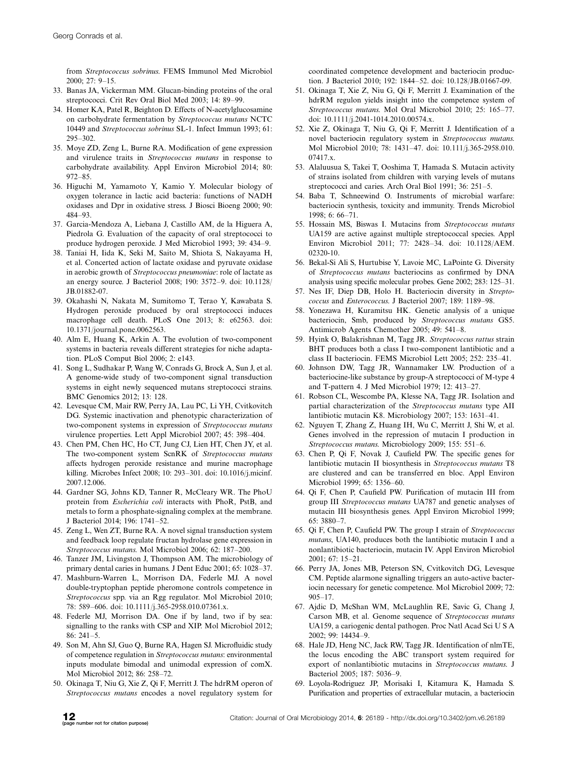from Streptococcus sobrinus. FEMS Immunol Med Microbiol 2000; 27: 9-15.

- 33. Banas JA, Vickerman MM. Glucan-binding proteins of the oral streptococci. Crit Rev Oral Biol Med 2003; 14: 89-99.
- 34. Homer KA, Patel R, Beighton D. Effects of N-acetylglucosamine on carbohydrate fermentation by Streptococcus mutans NCTC 10449 and Streptococcus sobrinus SL-1. Infect Immun 1993; 61: 295-302.
- 35. Moye ZD, Zeng L, Burne RA. Modification of gene expression and virulence traits in Streptococcus mutans in response to carbohydrate availability. Appl Environ Microbiol 2014; 80: 972-85.
- 36. Higuchi M, Yamamoto Y, Kamio Y. Molecular biology of oxygen tolerance in lactic acid bacteria: functions of NADH oxidases and Dpr in oxidative stress. J Biosci Bioeng 2000; 90: 484-93.
- 37. Garcia-Mendoza A, Liebana J, Castillo AM, de la Higuera A, Piedrola G. Evaluation of the capacity of oral streptococci to produce hydrogen peroxide. J Med Microbiol 1993; 39: 434-9.
- 38. Taniai H, Iida K, Seki M, Saito M, Shiota S, Nakayama H, et al. Concerted action of lactate oxidase and pyruvate oxidase in aerobic growth of Streptococcus pneumoniae: role of lactate as an energy source. J Bacteriol 2008; 190: 3572-9. doi: 10.1128/ JB.01882-07.
- 39. Okahashi N, Nakata M, Sumitomo T, Terao Y, Kawabata S. Hydrogen peroxide produced by oral streptococci induces macrophage cell death. PLoS One 2013; 8: e62563. doi: 10.1371/journal.pone.0062563.
- 40. Alm E, Huang K, Arkin A. The evolution of two-component systems in bacteria reveals different strategies for niche adaptation. PLoS Comput Biol 2006; 2: e143.
- 41. Song L, Sudhakar P, Wang W, Conrads G, Brock A, Sun J, et al. A genome-wide study of two-component signal transduction systems in eight newly sequenced mutans streptococci strains. BMC Genomics 2012; 13: 128.
- 42. Levesque CM, Mair RW, Perry JA, Lau PC, Li YH, Cvitkovitch DG. Systemic inactivation and phenotypic characterization of two-component systems in expression of Streptococcus mutans virulence properties. Lett Appl Microbiol 2007; 45: 398-404.
- 43. Chen PM, Chen HC, Ho CT, Jung CJ, Lien HT, Chen JY, et al. The two-component system ScnRK of Streptococcus mutans affects hydrogen peroxide resistance and murine macrophage killing. Microbes Infect 2008; 10: 293-301. doi: 10.1016/j.micinf. 2007.12.006.
- 44. Gardner SG, Johns KD, Tanner R, McCleary WR. The PhoU protein from Escherichia coli interacts with PhoR, PstB, and metals to form a phosphate-signaling complex at the membrane. J Bacteriol 2014; 196: 1741-52.
- 45. Zeng L, Wen ZT, Burne RA. A novel signal transduction system and feedback loop regulate fructan hydrolase gene expression in Streptococcus mutans. Mol Microbiol 2006; 62: 187-200.
- 46. Tanzer JM, Livingston J, Thompson AM. The microbiology of primary dental caries in humans. J Dent Educ 2001; 65: 1028-37.
- 47. Mashburn-Warren L, Morrison DA, Federle MJ. A novel double-tryptophan peptide pheromone controls competence in Streptococcus spp. via an Rgg regulator. Mol Microbiol 2010; 78: 589-606. doi: 10.1111/j.365-2958.010.07361.x.
- 48. Federle MJ, Morrison DA. One if by land, two if by sea: signalling to the ranks with CSP and XIP. Mol Microbiol 2012; 86: 241-5.
- 49. Son M, Ahn SJ, Guo Q, Burne RA, Hagen SJ. Microfluidic study of competence regulation in Streptococcus mutans: environmental inputs modulate bimodal and unimodal expression of comX. Mol Microbiol 2012; 86: 258-72.
- 50. Okinaga T, Niu G, Xie Z, Qi F, Merritt J. The hdrRM operon of Streptococcus mutans encodes a novel regulatory system for

coordinated competence development and bacteriocin production. J Bacteriol 2010; 192: 1844-52. doi: 10.128/JB.01667-09.

- 51. Okinaga T, Xie Z, Niu G, Qi F, Merritt J. Examination of the hdrRM regulon yields insight into the competence system of Streptococcus mutans. Mol Oral Microbiol 2010; 25: 165-77. doi: 10.1111/j.2041-1014.2010.00574.x.
- 52. Xie Z, Okinaga T, Niu G, Qi F, Merritt J. Identification of a novel bacteriocin regulatory system in Streptococcus mutans. Mol Microbiol 2010; 78: 1431-47. doi: 10.111/j.365-2958.010. 07417.x.
- 53. Alaluusua S, Takei T, Ooshima T, Hamada S. Mutacin activity of strains isolated from children with varying levels of mutans streptococci and caries. Arch Oral Biol 1991; 36: 251-5.
- 54. Baba T, Schneewind O. Instruments of microbial warfare: bacteriocin synthesis, toxicity and immunity. Trends Microbiol 1998; 6: 66-71.
- 55. Hossain MS, Biswas I. Mutacins from Streptococcus mutans UA159 are active against multiple streptococcal species. Appl Environ Microbiol 2011; 77: 2428-34. doi: 10.1128/AEM. 02320-10.
- 56. Bekal-Si Ali S, Hurtubise Y, Lavoie MC, LaPointe G. Diversity of Streptococcus mutans bacteriocins as confirmed by DNA analysis using specific molecular probes. Gene 2002; 283: 125-31.
- 57. Nes IF, Diep DB, Holo H. Bacteriocin diversity in Streptococcus and Enterococcus. J Bacteriol 2007; 189: 1189-98.
- 58. Yonezawa H, Kuramitsu HK. Genetic analysis of a unique bacteriocin, Smb, produced by Streptococcus mutans GS5. Antimicrob Agents Chemother 2005; 49: 541-8.
- 59. Hyink O, Balakrishnan M, Tagg JR. Streptococcus rattus strain BHT produces both a class I two-component lantibiotic and a class II bacteriocin. FEMS Microbiol Lett 2005; 252: 235-41.
- 60. Johnson DW, Tagg JR, Wannamaker LW. Production of a bacteriocine-like substance by group-A streptococci of M-type 4 and T-pattern 4. J Med Microbiol 1979; 12: 413-27.
- 61. Robson CL, Wescombe PA, Klesse NA, Tagg JR. Isolation and partial characterization of the Streptococcus mutans type AII lantibiotic mutacin K8. Microbiology 2007; 153: 1631-41.
- 62. Nguyen T, Zhang Z, Huang IH, Wu C, Merritt J, Shi W, et al. Genes involved in the repression of mutacin I production in Streptococcus mutans. Microbiology 2009; 155: 551-6.
- 63. Chen P, Qi F, Novak J, Caufield PW. The specific genes for lantibiotic mutacin II biosynthesis in Streptococcus mutans T8 are clustered and can be transferred en bloc. Appl Environ Microbiol 1999; 65: 1356-60.
- 64. Qi F, Chen P, Caufield PW. Purification of mutacin III from group III Streptococcus mutans UA787 and genetic analyses of mutacin III biosynthesis genes. Appl Environ Microbiol 1999; 65: 3880-7.
- 65. Qi F, Chen P, Caufield PW. The group I strain of Streptococcus mutans, UA140, produces both the lantibiotic mutacin I and a nonlantibiotic bacteriocin, mutacin IV. Appl Environ Microbiol 2001; 67: 15-21.
- 66. Perry JA, Jones MB, Peterson SN, Cvitkovitch DG, Levesque CM. Peptide alarmone signalling triggers an auto-active bacteriocin necessary for genetic competence. Mol Microbiol 2009; 72: 905-17.
- 67. Ajdic D, McShan WM, McLaughlin RE, Savic G, Chang J, Carson MB, et al. Genome sequence of Streptococcus mutans UA159, a cariogenic dental pathogen. Proc Natl Acad Sci U S A 2002; 99: 14434-9.
- 68. Hale JD, Heng NC, Jack RW, Tagg JR. Identification of nlmTE, the locus encoding the ABC transport system required for export of nonlantibiotic mutacins in Streptococcus mutans. J Bacteriol 2005; 187: 5036-9.
- 69. Loyola-Rodriguez JP, Morisaki I, Kitamura K, Hamada S. Purification and properties of extracellular mutacin, a bacteriocin